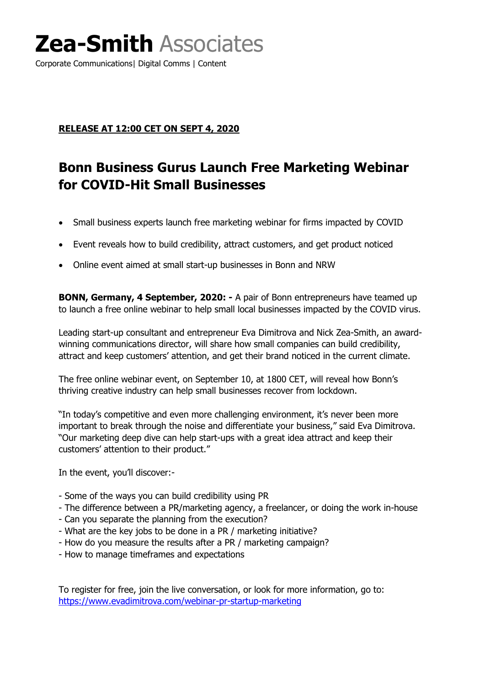# **Zea-Smith** Associates

Corporate Communications| Digital Comms | Content

### **RELEASE AT 12:00 CET ON SEPT 4, 2020**

### **Bonn Business Gurus Launch Free Marketing Webinar for COVID-Hit Small Businesses**

- Small business experts launch free marketing webinar for firms impacted by COVID
- Event reveals how to build credibility, attract customers, and get product noticed
- Online event aimed at small start-up businesses in Bonn and NRW

**BONN, Germany, 4 September, 2020: -** A pair of Bonn entrepreneurs have teamed up to launch a free online webinar to help small local businesses impacted by the COVID virus.

Leading start-up consultant and entrepreneur Eva Dimitrova and Nick Zea-Smith, an awardwinning communications director, will share how small companies can build credibility, attract and keep customers' attention, and get their brand noticed in the current climate.

The free online webinar event, on September 10, at 1800 CET, will reveal how Bonn's thriving creative industry can help small businesses recover from lockdown.

"In today's competitive and even more challenging environment, it's never been more important to break through the noise and differentiate your business," said Eva Dimitrova. "Our marketing deep dive can help start-ups with a great idea attract and keep their customers' attention to their product."

In the event, you'll discover:-

- Some of the ways you can build credibility using PR
- The difference between a PR/marketing agency, a freelancer, or doing the work in-house
- Can you separate the planning from the execution?
- What are the key jobs to be done in a PR / marketing initiative?
- How do you measure the results after a PR / marketing campaign?
- How to manage timeframes and expectations

To register for free, join the live conversation, or look for more information, go to: <https://www.evadimitrova.com/webinar-pr-startup-marketing>